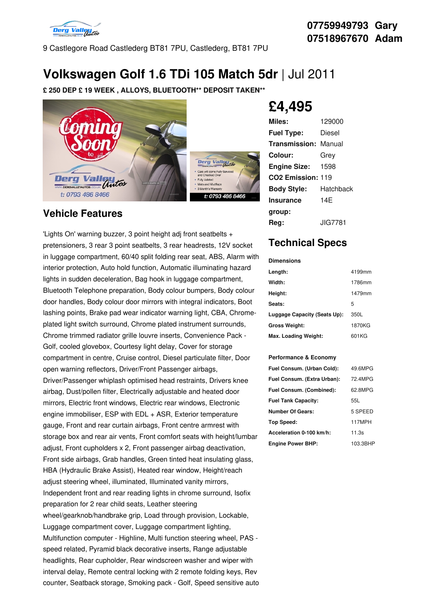

9 Castlegore Road Castlederg BT81 7PU, Castlederg, BT81 7PU

# **Volkswagen Golf 1.6 TDi 105 Match 5dr** |Jul 2011

**£ 250 DEP £ 19 WEEK , ALLOYS, BLUETOOTH\*\* DEPOSIT TAKEN\*\***



### **Vehicle Features**

'Lights On' warning buzzer, 3 point height adj front seatbelts + pretensioners, 3 rear 3 point seatbelts, 3 rear headrests, 12V socket in luggage compartment, 60/40 split folding rear seat, ABS, Alarm with interior protection, Auto hold function, Automatic illuminating hazard lights in sudden deceleration, Bag hook in luggage compartment, Bluetooth Telephone preparation, Body colour bumpers, Body colour door handles, Body colour door mirrors with integral indicators, Boot lashing points, Brake pad wear indicator warning light, CBA, Chrome plated light switch surround, Chrome plated instrument surrounds, Chrome trimmed radiator grille louvre inserts, Convenience Pack - Golf, cooled glovebox, Courtesy light delay, Cover for storage compartment in centre, Cruise control, Diesel particulate filter, Door open warning reflectors, Driver/Front Passenger airbags, Driver/Passenger whiplash optimised head restraints, Drivers knee airbag, Dust/pollen filter, Electrically adjustable and heated door mirrors, Electric front windows, Electric rear windows, Electronic engine immobiliser, ESP with EDL + ASR, Exterior temperature gauge, Front and rear curtain airbags, Front centre armrest with storage box and rear air vents, Front comfort seats with height/lumbar adjust, Front cupholders x 2, Front passenger airbag deactivation, Front side airbags, Grab handles, Green tinted heat insulating glass, HBA (Hydraulic Brake Assist), Heated rear window, Height/reach adjust steering wheel, illuminated, Illuminated vanity mirrors, Independent front and rear reading lights in chrome surround, Isofix preparation for 2 rear child seats, Leather steering wheel/gearknob/handbrake grip, Load through provision, Lockable, Luggage compartment cover, Luggage compartment lighting, Multifunction computer - Highline, Multi function steering wheel, PAS speed related, Pyramid black decorative inserts, Range adjustable headlights, Rear cupholder, Rear windscreen washer and wiper with interval delay, Remote central locking with 2 remote folding keys, Rev counter, Seatback storage, Smoking pack - Golf, Speed sensitive auto

# **£4,495**

| Miles:                        | 129000    |
|-------------------------------|-----------|
| <b>Fuel Type:</b>             | Diesel    |
| <b>Transmission: Manual</b>   |           |
| Colour:                       | Grey      |
| <b>Engine Size:</b>           | 1598      |
| CO <sub>2</sub> Emission: 119 |           |
| <b>Body Style:</b>            | Hatchback |
| <b>Insurance</b>              | 14F       |
| group:                        |           |
| Rea:                          | JIG7781.  |

## **Technical Specs**

### **Dimensions Length:** 4199mm **Width:** 1786mm **Height:** 1479mm Seats: 5 **Luggage Capacity (Seats Up):** 350L **Gross Weight:** 1870KG **Max. Loading Weight:** 601KG

#### **Performance & Economy**

| Fuel Consum. (Urban Cold):  | 49.6MPG  |
|-----------------------------|----------|
| Fuel Consum. (Extra Urban): | 72 4MPG  |
| Fuel Consum. (Combined):    | 62.8MPG  |
| <b>Fuel Tank Capacity:</b>  | 55L      |
| Number Of Gears:            | 5 SPEED  |
| Top Speed:                  | 117MPH   |
| Acceleration 0-100 km/h:    | 11.3s    |
| <b>Engine Power BHP:</b>    | 103.3BHP |